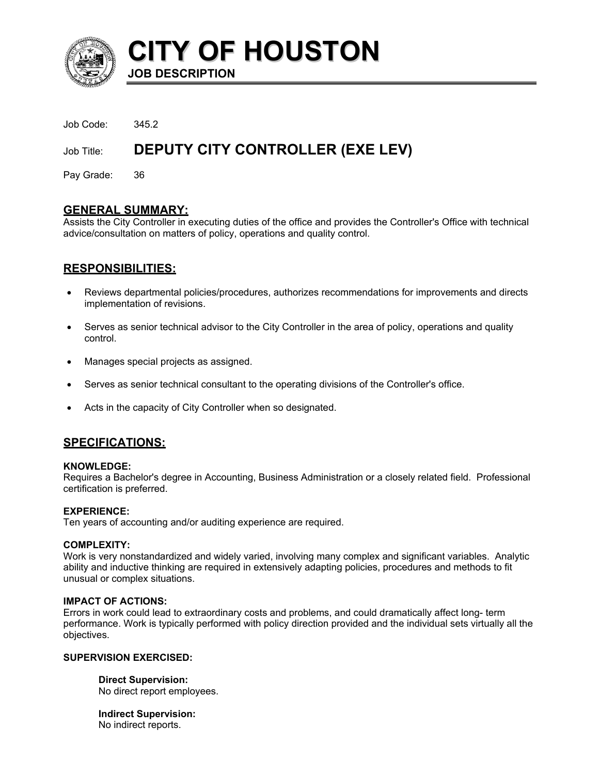

**CITY OF HOUSTON JOB DESCRIPTION** 

Job Code: 345.2

# Job Title: **DEPUTY CITY CONTROLLER (EXE LEV)**

Pay Grade: 36

### **GENERAL SUMMARY:**

Assists the City Controller in executing duties of the office and provides the Controller's Office with technical advice/consultation on matters of policy, operations and quality control.

# **RESPONSIBILITIES:**

- Reviews departmental policies/procedures, authorizes recommendations for improvements and directs implementation of revisions. •
- Serves as senior technical advisor to the City Controller in the area of policy, operations and quality control.
- Manages special projects as assigned.
- Serves as senior technical consultant to the operating divisions of the Controller's office.
- Acts in the capacity of City Controller when so designated.

### **SPECIFICATIONS:**

### **KNOWLEDGE:**

Requires a Bachelor's degree in Accounting, Business Administration or a closely related field. Professional certification is preferred.

### **EXPERIENCE:**

Ten years of accounting and/or auditing experience are required.

### **COMPLEXITY:**

Work is very nonstandardized and widely varied, involving many complex and significant variables. Analytic ability and inductive thinking are required in extensively adapting policies, procedures and methods to fit unusual or complex situations.

### **IMPACT OF ACTIONS:**

Errors in work could lead to extraordinary costs and problems, and could dramatically affect long- term performance. Work is typically performed with policy direction provided and the individual sets virtually all the objectives.

### **SUPERVISION EXERCISED:**

**Direct Supervision:** No direct report employees.

**Indirect Supervision:** No indirect reports.